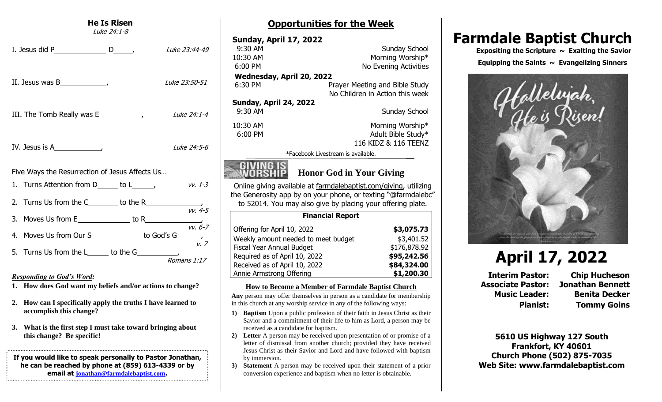### **He Is Risen**

Luke 24:1-8

| I. Jesus did P $\qquad \qquad$ D $\qquad \qquad$ | <i>Luke 23:44-49</i> |
|--------------------------------------------------|----------------------|
|                                                  | Luke 23:50-51        |
|                                                  | Luke 24:1-4          |
| IV. Jesus is $A$ [2013]                          | <i>Luke 24:5-6</i>   |
| Five Ways the Resurrection of Jesus Affects Us   |                      |
| 1. Turns Attention from D_____ to L______,       | vv. 1-3              |
|                                                  |                      |
|                                                  |                      |
|                                                  |                      |
|                                                  | Romans 1:17          |

#### *Responding to God's Word:*

- **1. How does God want my beliefs and/or actions to change?**
- **2. How can I specifically apply the truths I have learned to accomplish this change?**
- **3. What is the first step I must take toward bringing about this change? Be specific!**

**If you would like to speak personally to Pastor Jonathan, he can be reached by phone at (859) 613-4339 or by email at [jonathan@farmdalebaptist.com](mailto:jonathan@farmdalebaptist.com).**

## **Opportunities for the Week**

| <b>Sunday, April 17, 2022</b> |                                    |
|-------------------------------|------------------------------------|
| $9:30$ AM                     | Sunday School                      |
| 10:30 AM                      | Morning Worship*                   |
| $6:00$ PM                     | No Evening Activities              |
| Wednesday, April 20, 2022     |                                    |
| 6:30 PM                       | Prayer Meeting and Bible Study     |
|                               | No Children in Action this week    |
| Sunday, April 24, 2022        |                                    |
| 9:30 AM                       | Sunday School                      |
| 10:30 AM                      | Morning Worship*                   |
| $6:00$ PM                     | Adult Bible Study*                 |
|                               | 116 KIDZ & 116 TEENZ               |
|                               | *Facebook Livestream is available. |
|                               |                                    |



# **MORSHIP** Honor God in Your Giving

Online giving available at farmdalebaptist.com/giving, utilizing the Generosity app by on your phone, or texting "@farmdalebc" to 52014. You may also give by placing your offering plate.

| <b>Financial Report</b>             |              |
|-------------------------------------|--------------|
| Offering for April 10, 2022         | \$3,075.73   |
| Weekly amount needed to meet budget | \$3,401.52   |
| Fiscal Year Annual Budget           | \$176,878.92 |
| Required as of April 10, 2022       | \$95,242.56  |
| Received as of April 10, 2022       | \$84,324.00  |
| Annie Armstrong Offering            | \$1,200.30   |

#### **How to Become a Member of Farmdale Baptist Church**

**Any** person may offer themselves in person as a candidate for membership in this church at any worship service in any of the following ways:

- **1) Baptism** Upon a public profession of their faith in Jesus Christ as their Savior and a commitment of their life to him as Lord, a person may be received as a candidate for baptism.
- **2) Letter** A person may be received upon presentation of or promise of a letter of dismissal from another church; provided they have received Jesus Christ as their Savior and Lord and have followed with baptism by immersion.
- **3) Statement** A person may be received upon their statement of a prior conversion experience and baptism when no letter is obtainable.

# **Farmdale Baptist Church**

 **Expositing the Scripture ~ Exalting the Savior Equipping the Saints ~ Evangelizing Sinners**



# **April 17, 2022**

**Interim Pastor: Chip Hucheson Associate Pastor: Jonathan Bennett Music Leader: Benita Decker Pianist: Tommy Goins**

**5610 US Highway 127 South Frankfort, KY 40601 Church Phone (502) 875-7035 Web Site: www.farmdalebaptist.com**